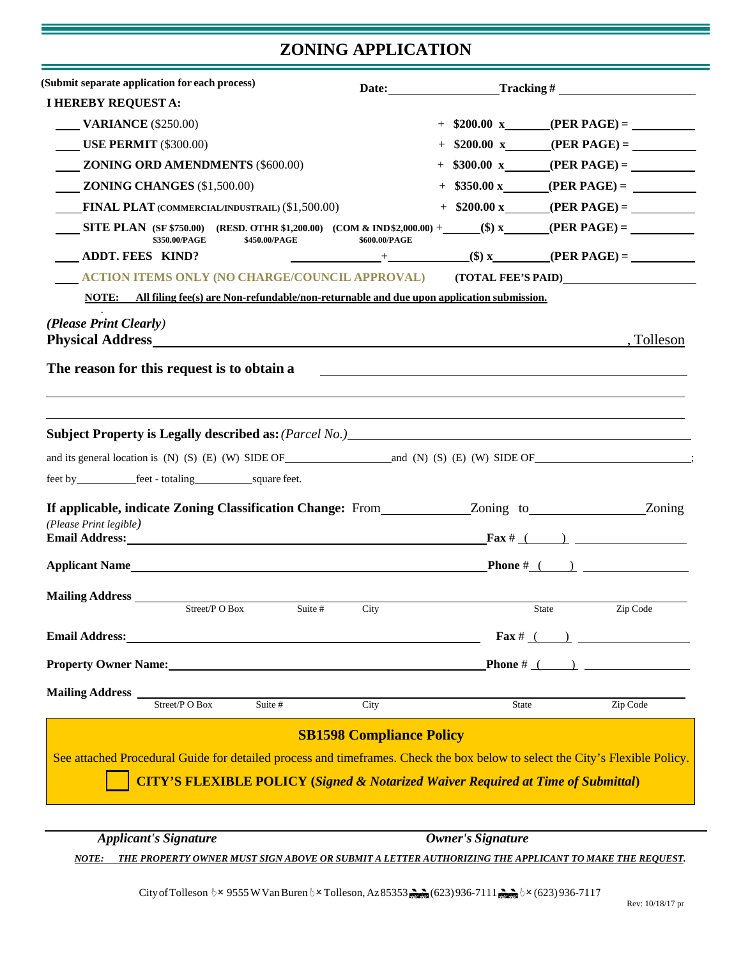#### **ZONING APPLICATION**

| (Submit separate application for each process)                                                                                                                                                                                 |                                 |       | Date: $\sqrt{ }$ $\sqrt{ }$ $\sqrt{ }$ $\sqrt{ }$ $\sqrt{ }$ $\sqrt{ }$ $\sqrt{ }$ $\sqrt{ }$ $\sqrt{ }$ $\sqrt{ }$ $\sqrt{ }$ $\sqrt{ }$ $\sqrt{ }$ $\sqrt{ }$ $\sqrt{ }$ $\sqrt{ }$ $\sqrt{ }$ $\sqrt{ }$ $\sqrt{ }$ $\sqrt{ }$ $\sqrt{ }$ $\sqrt{ }$ $\sqrt{ }$ $\sqrt{ }$ $\sqrt{ }$ $\sqrt{ }$ $\sqrt{ }$ $\sqrt{ }$ $\sqrt{ }$ $\sqrt{ }$ $\sqrt{ }$ |
|--------------------------------------------------------------------------------------------------------------------------------------------------------------------------------------------------------------------------------|---------------------------------|-------|------------------------------------------------------------------------------------------------------------------------------------------------------------------------------------------------------------------------------------------------------------------------------------------------------------------------------------------------------------|
| <b>I HEREBY REQUEST A:</b>                                                                                                                                                                                                     |                                 |       |                                                                                                                                                                                                                                                                                                                                                            |
| VARIANCE $(\$250.00)$                                                                                                                                                                                                          |                                 |       | $+$ \$200.00 x (PER PAGE) =                                                                                                                                                                                                                                                                                                                                |
| <b>USE PERMIT (\$300.00)</b>                                                                                                                                                                                                   |                                 |       | $+$ \$200.00 x (PER PAGE) =                                                                                                                                                                                                                                                                                                                                |
| <b>ZONING ORD AMENDMENTS (\$600.00)</b>                                                                                                                                                                                        |                                 |       | $+$ \$300.00 x (PER PAGE) =                                                                                                                                                                                                                                                                                                                                |
| <b>ZONING CHANGES</b> $(\$1,500.00)$                                                                                                                                                                                           |                                 |       | $+$ \$350.00 x (PER PAGE) =                                                                                                                                                                                                                                                                                                                                |
| <b>FINAL PLAT (COMMERCIAL/INDUSTRAIL) (\$1,500.00)</b>                                                                                                                                                                         |                                 |       | $+$ \$200.00 x (PER PAGE) =                                                                                                                                                                                                                                                                                                                                |
| <b>SITE PLAN</b> (SF \$750.00) (RESD. OTHR \$1,200.00) (COM & IND \$2,000.00) + (\$) x (PER PAGE) =<br>\$450.00/PAGE<br>\$350.00/PAGE                                                                                          | \$600.00/PAGE                   |       |                                                                                                                                                                                                                                                                                                                                                            |
| <b>ADDT. FEES KIND?</b>                                                                                                                                                                                                        |                                 |       |                                                                                                                                                                                                                                                                                                                                                            |
| ACTION ITEMS ONLY (NO CHARGE/COUNCIL APPROVAL) (TOTAL FEE'S PAID)                                                                                                                                                              |                                 |       |                                                                                                                                                                                                                                                                                                                                                            |
| NOTE: All filing fee(s) are Non-refundable/non-returnable and due upon application submission.                                                                                                                                 |                                 |       |                                                                                                                                                                                                                                                                                                                                                            |
| (Please Print Clearly)                                                                                                                                                                                                         |                                 |       | , Tolleson                                                                                                                                                                                                                                                                                                                                                 |
|                                                                                                                                                                                                                                |                                 |       |                                                                                                                                                                                                                                                                                                                                                            |
|                                                                                                                                                                                                                                |                                 |       |                                                                                                                                                                                                                                                                                                                                                            |
| <b>Subject Property is Legally described as:</b> (Parcel No.)                                                                                                                                                                  |                                 |       |                                                                                                                                                                                                                                                                                                                                                            |
|                                                                                                                                                                                                                                |                                 |       |                                                                                                                                                                                                                                                                                                                                                            |
|                                                                                                                                                                                                                                |                                 |       |                                                                                                                                                                                                                                                                                                                                                            |
|                                                                                                                                                                                                                                |                                 |       | Zoning                                                                                                                                                                                                                                                                                                                                                     |
| (Please Print legible)                                                                                                                                                                                                         |                                 |       |                                                                                                                                                                                                                                                                                                                                                            |
|                                                                                                                                                                                                                                |                                 |       |                                                                                                                                                                                                                                                                                                                                                            |
|                                                                                                                                                                                                                                |                                 |       |                                                                                                                                                                                                                                                                                                                                                            |
| Mailing Address Street/PO Box Suite # City                                                                                                                                                                                     |                                 |       | State <b>Zip</b> Code                                                                                                                                                                                                                                                                                                                                      |
| Email Address: No. 1996. The Contract of the Contract of the Contract of the Contract of the Contract of the Contract of the Contract of the Contract of the Contract of the Contract of the Contract of the Contract of the C |                                 |       | $\frac{Fax \# (})$                                                                                                                                                                                                                                                                                                                                         |
|                                                                                                                                                                                                                                |                                 |       | Phone $\#$ ( )                                                                                                                                                                                                                                                                                                                                             |
| <b>Mailing Address</b>                                                                                                                                                                                                         |                                 |       |                                                                                                                                                                                                                                                                                                                                                            |
| Street/PO Box<br>Suite #                                                                                                                                                                                                       | City                            | State | Zip Code                                                                                                                                                                                                                                                                                                                                                   |
|                                                                                                                                                                                                                                | <b>SB1598 Compliance Policy</b> |       |                                                                                                                                                                                                                                                                                                                                                            |
|                                                                                                                                                                                                                                |                                 |       |                                                                                                                                                                                                                                                                                                                                                            |
|                                                                                                                                                                                                                                |                                 |       |                                                                                                                                                                                                                                                                                                                                                            |
| See attached Procedural Guide for detailed process and timeframes. Check the box below to select the City's Flexible Policy.<br><b>CITY'S FLEXIBLE POLICY (Signed &amp; Notarized Waiver Required at Time of Submittal)</b>    |                                 |       |                                                                                                                                                                                                                                                                                                                                                            |

*NOTE: THE PROPERTY OWNER MUST SIGN ABOVE OR SUBMIT A LETTER AUTHORIZING THE APPLICANT TO MAKE THE REQUEST.* 

*Applicant's Signature Owner's Signature*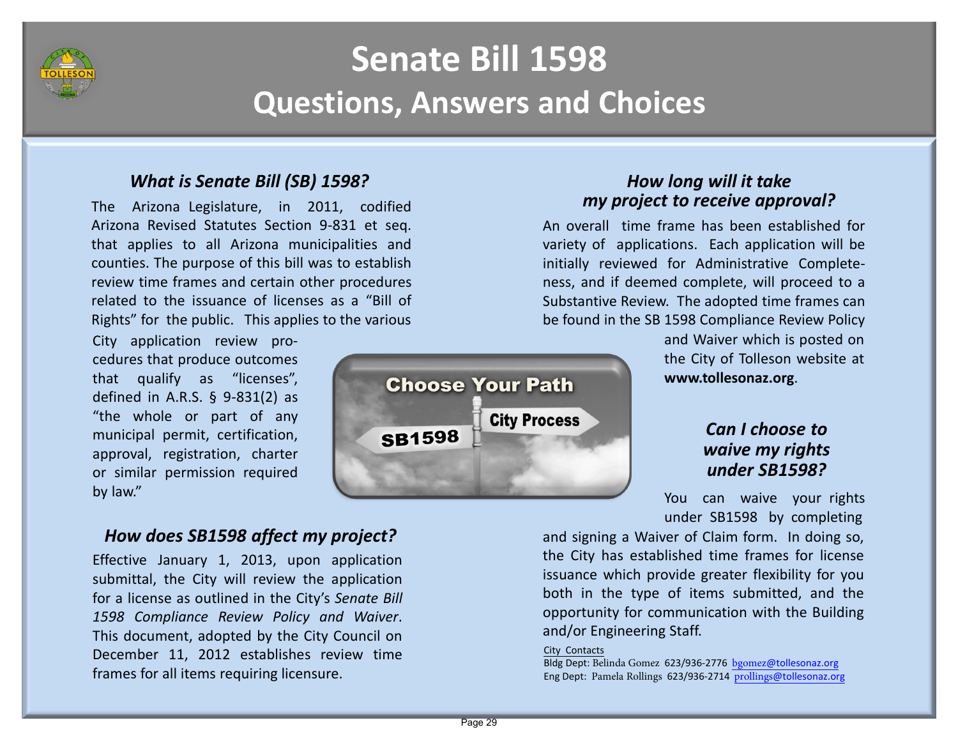

# Senate Bill 1598Questions, Answers and Choices

# What is Senate Bill (SB) 1598?

The Arizona Legislature, in 2011, codified Arizona Revised Statutes Section 9-831 et seq. that applies to all Arizona municipalities and counties. The purpose of this bill was to establish review time frames and certain other procedures related to the issuance of licenses as <sup>a</sup> "Bill of Rights" for the public. This applies to the various

City application review procedures that produce outcomes that qualify as "licenses", defined in A.R.S. § 9-831(2) as "the whole or part of any municipal permit, certification, approval, registration, charter or similar permission required<br>by law." by law." You have a set of the contract of the contract of the contract of the contract of the contract of the contract of the contract of the contract of the contract of the contract of the contract of the contract of the

# How does SB1598 affect my project?

Effective January 1, 2013, upon application submittal, the City will review the applicationfor a license as outlined in the City's *Senate Bill* <sup>1598</sup> Compliance Review Policy and Waiver. This document, adopted by the City Council on December 11, <sup>2012</sup> establishes review time frames for all items requiring licensure.

# **Choose Your Path City Process SB1598**

## How long will it take my project to receive approval?

An overall time frame has been established for variety of applications. Each application will be initially reviewed for Administrative Completeness, and if deemed complete, will proceed to <sup>a</sup> Substantive Review. The adopted time frames canbe found in the SB <sup>1598</sup> Compliance Review Policy

and Waiver which is posted on the City of Tolleson website at www.tollesonaz.org.

# Can I choose to waive my rights under SB1598?

You can waive your rights under SB1598 by completing

and signing <sup>a</sup> Waiver of Claim form. In doing so, the City has established time frames for license issuance which provide greater flexibility for you both in the type of items submitted, and the opportunity for communication with the Building and/or Engineering Staff.

#### City Contacts

Bldg Dept: Belinda Gomez 623/936-2776 <u>bgomez@tollesonaz.org</u> Eng Dept: Pamela Rollings 623/936-2714 prollings@tollesonaz.org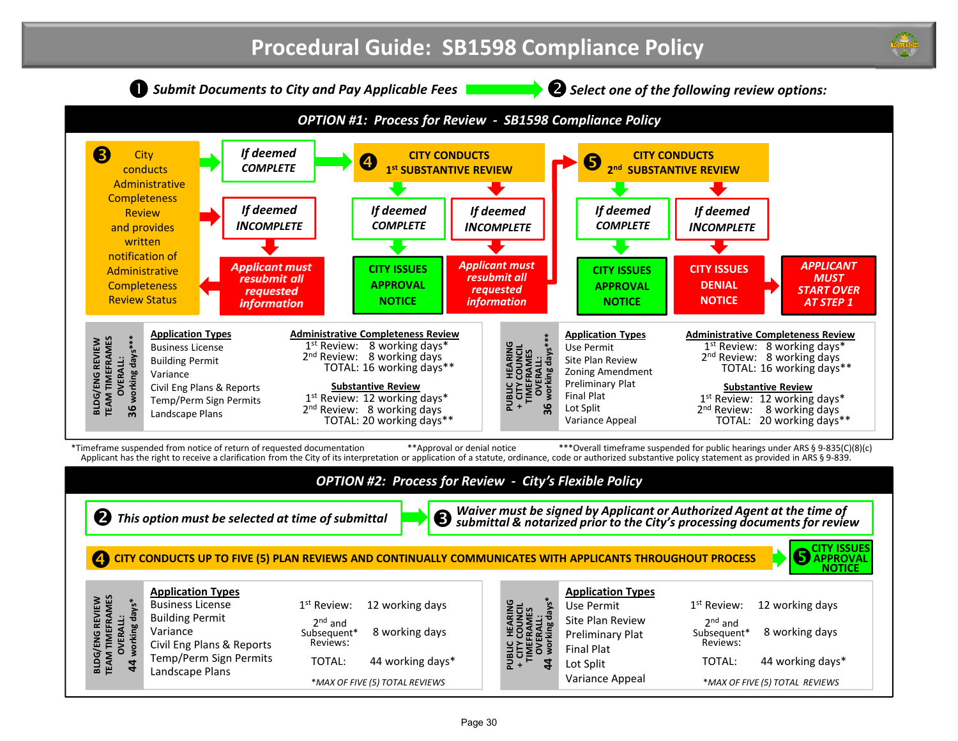

#### OPTION #2: Process for Review - City's Flexible Policy

 $\bullet$  This option must be selected at time of submittal

**S** Waiver must be signed by Applicant or Authorized Agent at the time of<br>International Bubmittal & notarized prior to the City's processing documents for review

#### CITY CONDUCTS UP TO FIVE (5) PLAN REVIEWS AND CONTINUALLY COMMUNICATES WITH APPLICANTS THROUGHOUT PROCESS



| <b>Application Types</b> |  |
|--------------------------|--|
|--------------------------|--|

BLDG/ENG REVIEW TEAM TIMEFRAMES OVERALL: 44 working days\*

**BLDG/ENG REVIEW<br>TEAM TIMEFRAMES<br>OVERALL:** 

working days\*

 $\overline{4}$ 

| <b>Business License</b>                   |                                | $1st$ Review: 12 working days |  |
|-------------------------------------------|--------------------------------|-------------------------------|--|
| <b>Building Permit</b>                    | $2nd$ and                      |                               |  |
| Variance                                  | Subsequent*                    | 8 working days                |  |
| Civil Eng Plans & Reports                 | Reviews:                       |                               |  |
| Temp/Perm Sign Permits<br>Landscape Plans | TOTAL:                         | 44 working days*              |  |
|                                           | *MAX OF FIVE (5) TOTAL REVIEWS |                               |  |

| <b>Application Types</b> |                        |
|--------------------------|------------------------|
| Use Permit               | 1 <sup>st</sup> Review |
| Site Plan Review         | $2nd$ and              |
| <b>Preliminary Plat</b>  | Subsequen<br>:Reviews  |
| <b>Final Plat</b>        |                        |
| Lot Split                | TOTAL:                 |
|                          |                        |

Variance Appeal

| $1^\mathrm{st}$ Review:              | 12 working days |  |
|--------------------------------------|-----------------|--|
| $2nd$ and<br>Subsequent*<br>Reviews: | 8 working days  |  |

44 working days\*

PUBLIC HEARING + CITY COUNCIL TIMEFRAMES OVERALL: 44 working days\*

**PUBLIC HEARING<br>+ CITY COUNCIL<br>TIMEFRAMES** 

 $\overline{4}$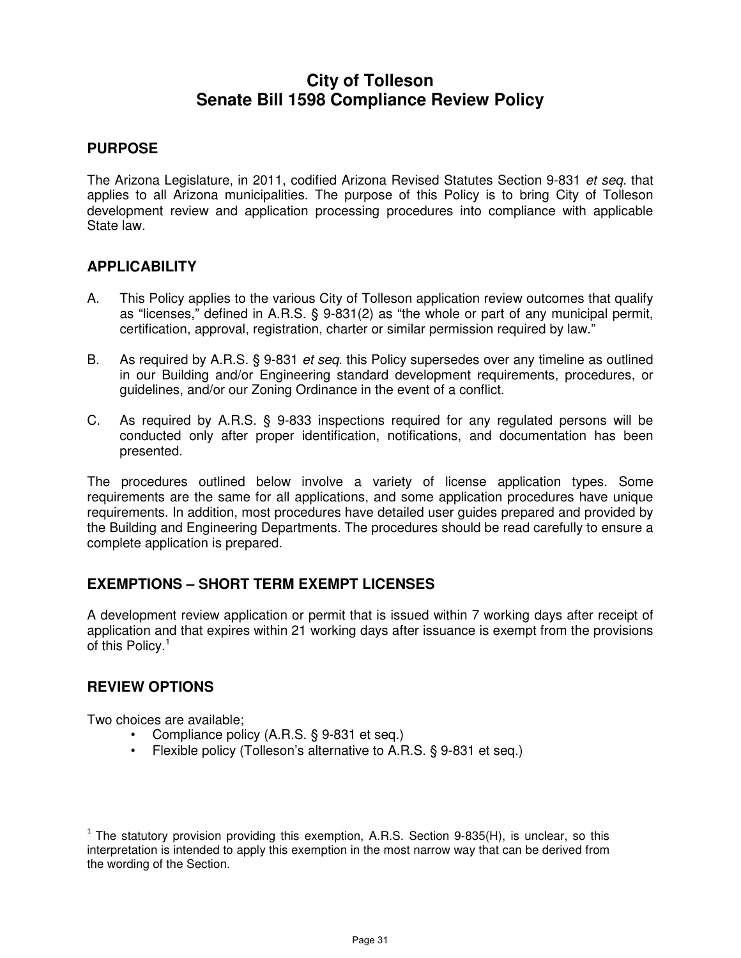## **City of Tolleson Senate Bill 1598 Compliance Review Policy**

#### **PURPOSE**

The Arizona Legislature, in 2011, codified Arizona Revised Statutes Section 9-831 et seq. that applies to all Arizona municipalities. The purpose of this Policy is to bring City of Tolleson development review and application processing procedures into compliance with applicable State law.

#### **APPLICABILITY**

- A. This Policy applies to the various City of Tolleson application review outcomes that qualify as "licenses," defined in A.R.S. § 9-831(2) as "the whole or part of any municipal permit, certification, approval, registration, charter or similar permission required by law."
- B. As required by A.R.S. § 9-831 *et seq.* this Policy supersedes over any timeline as outlined in our Building and/or Engineering standard development requirements, procedures, or guidelines, and/or our Zoning Ordinance in the event of a conflict.
- C. As required by A.R.S. § 9-833 inspections required for any regulated persons will be conducted only after proper identification, notifications, and documentation has been presented.

The procedures outlined below involve a variety of license application types. Some requirements are the same for all applications, and some application procedures have unique requirements. In addition, most procedures have detailed user guides prepared and provided by the Building and Engineering Departments. The procedures should be read carefully to ensure a complete application is prepared.

#### **EXEMPTIONS – SHORT TERM EXEMPT LICENSES**

A development review application or permit that is issued within 7 working days after receipt of application and that expires within 21 working days after issuance is exempt from the provisions of this Policy.<sup>1</sup>

#### **REVIEW OPTIONS**

Two choices are available;

- Compliance policy (A.R.S. § 9-831 et seq.)
- Flexible policy (Tolleson's alternative to A.R.S. § 9-831 et seq.)

 $1$  The statutory provision providing this exemption, A.R.S. Section 9-835(H), is unclear, so this interpretation is intended to apply this exemption in the most narrow way that can be derived from the wording of the Section.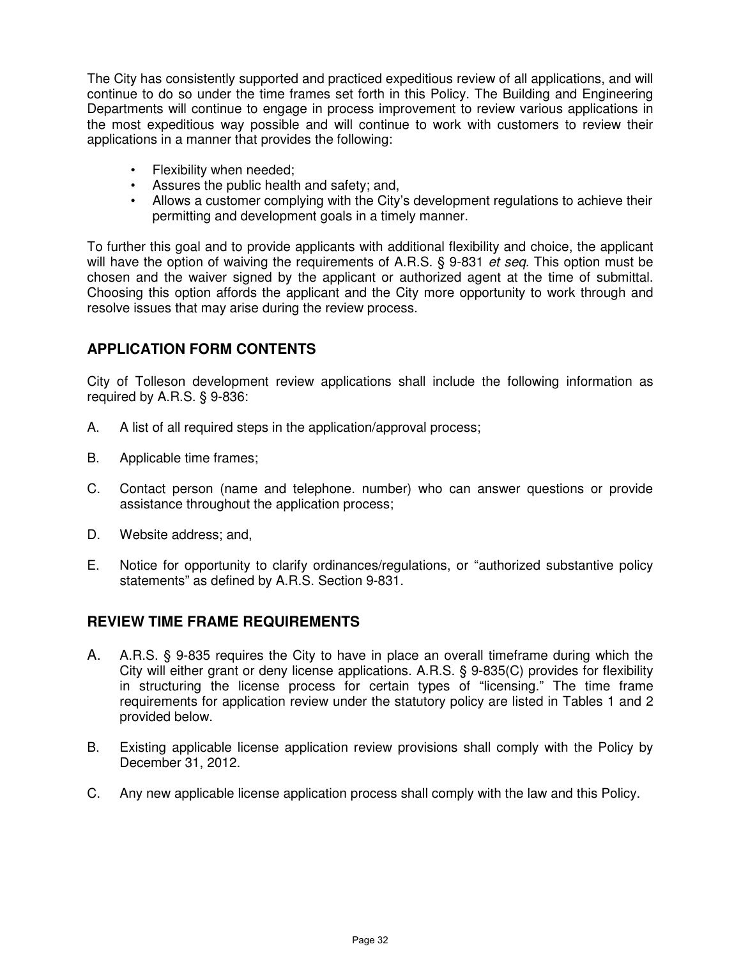The City has consistently supported and practiced expeditious review of all applications, and will continue to do so under the time frames set forth in this Policy. The Building and Engineering Departments will continue to engage in process improvement to review various applications in the most expeditious way possible and will continue to work with customers to review their applications in a manner that provides the following:

- Flexibility when needed;
- Assures the public health and safety; and,
- Allows a customer complying with the City's development regulations to achieve their permitting and development goals in a timely manner.

To further this goal and to provide applicants with additional flexibility and choice, the applicant will have the option of waiving the requirements of A.R.S. § 9-831 et seq. This option must be chosen and the waiver signed by the applicant or authorized agent at the time of submittal. Choosing this option affords the applicant and the City more opportunity to work through and resolve issues that may arise during the review process.

#### **APPLICATION FORM CONTENTS**

City of Tolleson development review applications shall include the following information as required by A.R.S. § 9-836:

- A. A list of all required steps in the application/approval process;
- B. Applicable time frames;
- C. Contact person (name and telephone. number) who can answer questions or provide assistance throughout the application process;
- D. Website address; and,
- E. Notice for opportunity to clarify ordinances/regulations, or "authorized substantive policy statements" as defined by A.R.S. Section 9-831.

#### **REVIEW TIME FRAME REQUIREMENTS**

- A. A.R.S. § 9-835 requires the City to have in place an overall timeframe during which the City will either grant or deny license applications. A.R.S. § 9-835(C) provides for flexibility in structuring the license process for certain types of "licensing." The time frame requirements for application review under the statutory policy are listed in Tables 1 and 2 provided below.
- B. Existing applicable license application review provisions shall comply with the Policy by December 31, 2012.
- C. Any new applicable license application process shall comply with the law and this Policy.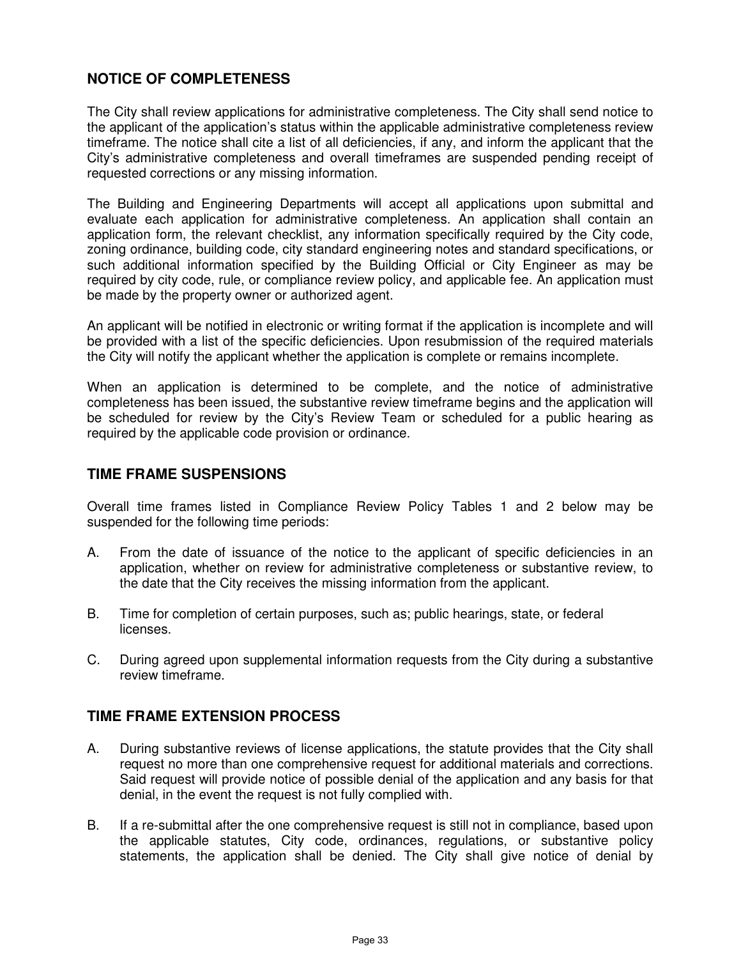#### **NOTICE OF COMPLETENESS**

The City shall review applications for administrative completeness. The City shall send notice to the applicant of the application's status within the applicable administrative completeness review timeframe. The notice shall cite a list of all deficiencies, if any, and inform the applicant that the City's administrative completeness and overall timeframes are suspended pending receipt of requested corrections or any missing information.

The Building and Engineering Departments will accept all applications upon submittal and evaluate each application for administrative completeness. An application shall contain an application form, the relevant checklist, any information specifically required by the City code, zoning ordinance, building code, city standard engineering notes and standard specifications, or such additional information specified by the Building Official or City Engineer as may be required by city code, rule, or compliance review policy, and applicable fee. An application must be made by the property owner or authorized agent.

An applicant will be notified in electronic or writing format if the application is incomplete and will be provided with a list of the specific deficiencies. Upon resubmission of the required materials the City will notify the applicant whether the application is complete or remains incomplete.

When an application is determined to be complete, and the notice of administrative completeness has been issued, the substantive review timeframe begins and the application will be scheduled for review by the City's Review Team or scheduled for a public hearing as required by the applicable code provision or ordinance.

#### **TIME FRAME SUSPENSIONS**

Overall time frames listed in Compliance Review Policy Tables 1 and 2 below may be suspended for the following time periods:

- A. From the date of issuance of the notice to the applicant of specific deficiencies in an application, whether on review for administrative completeness or substantive review, to the date that the City receives the missing information from the applicant.
- B. Time for completion of certain purposes, such as; public hearings, state, or federal licenses.
- C. During agreed upon supplemental information requests from the City during a substantive review timeframe.

#### **TIME FRAME EXTENSION PROCESS**

- A. During substantive reviews of license applications, the statute provides that the City shall request no more than one comprehensive request for additional materials and corrections. Said request will provide notice of possible denial of the application and any basis for that denial, in the event the request is not fully complied with.
- B. If a re-submittal after the one comprehensive request is still not in compliance, based upon the applicable statutes, City code, ordinances, regulations, or substantive policy statements, the application shall be denied. The City shall give notice of denial by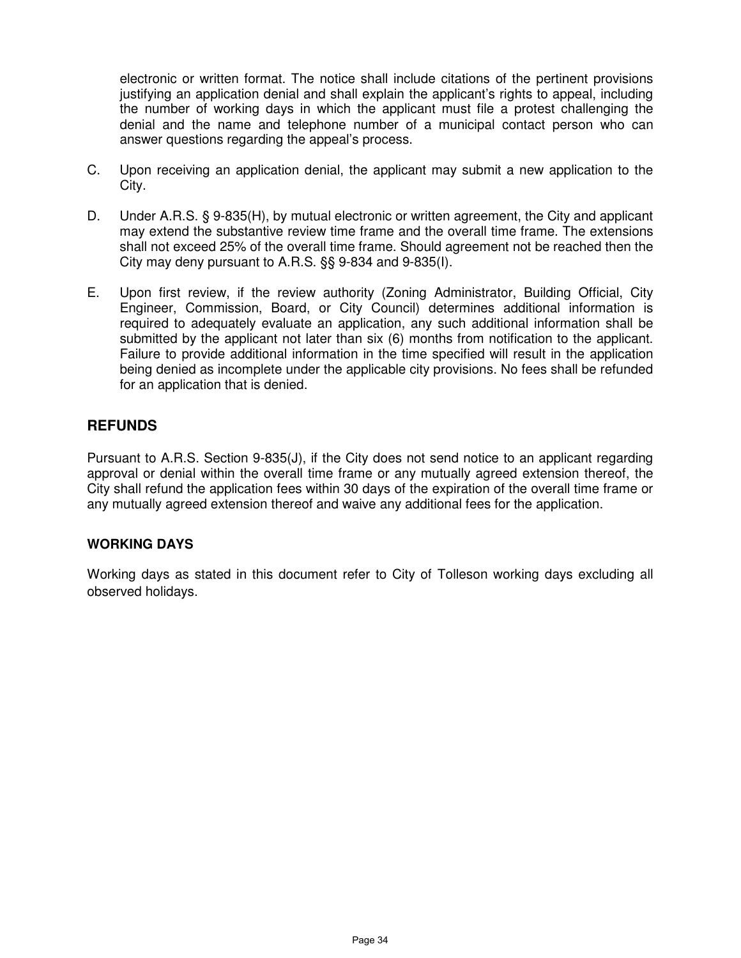electronic or written format. The notice shall include citations of the pertinent provisions justifying an application denial and shall explain the applicant's rights to appeal, including the number of working days in which the applicant must file a protest challenging the denial and the name and telephone number of a municipal contact person who can answer questions regarding the appeal's process.

- C. Upon receiving an application denial, the applicant may submit a new application to the City.
- D. Under A.R.S. § 9-835(H), by mutual electronic or written agreement, the City and applicant may extend the substantive review time frame and the overall time frame. The extensions shall not exceed 25% of the overall time frame. Should agreement not be reached then the City may deny pursuant to A.R.S. §§ 9-834 and 9-835(I).
- E. Upon first review, if the review authority (Zoning Administrator, Building Official, City Engineer, Commission, Board, or City Council) determines additional information is required to adequately evaluate an application, any such additional information shall be submitted by the applicant not later than six (6) months from notification to the applicant. Failure to provide additional information in the time specified will result in the application being denied as incomplete under the applicable city provisions. No fees shall be refunded for an application that is denied.

#### **REFUNDS**

Pursuant to A.R.S. Section 9-835(J), if the City does not send notice to an applicant regarding approval or denial within the overall time frame or any mutually agreed extension thereof, the City shall refund the application fees within 30 days of the expiration of the overall time frame or any mutually agreed extension thereof and waive any additional fees for the application.

#### **WORKING DAYS**

Working days as stated in this document refer to City of Tolleson working days excluding all observed holidays.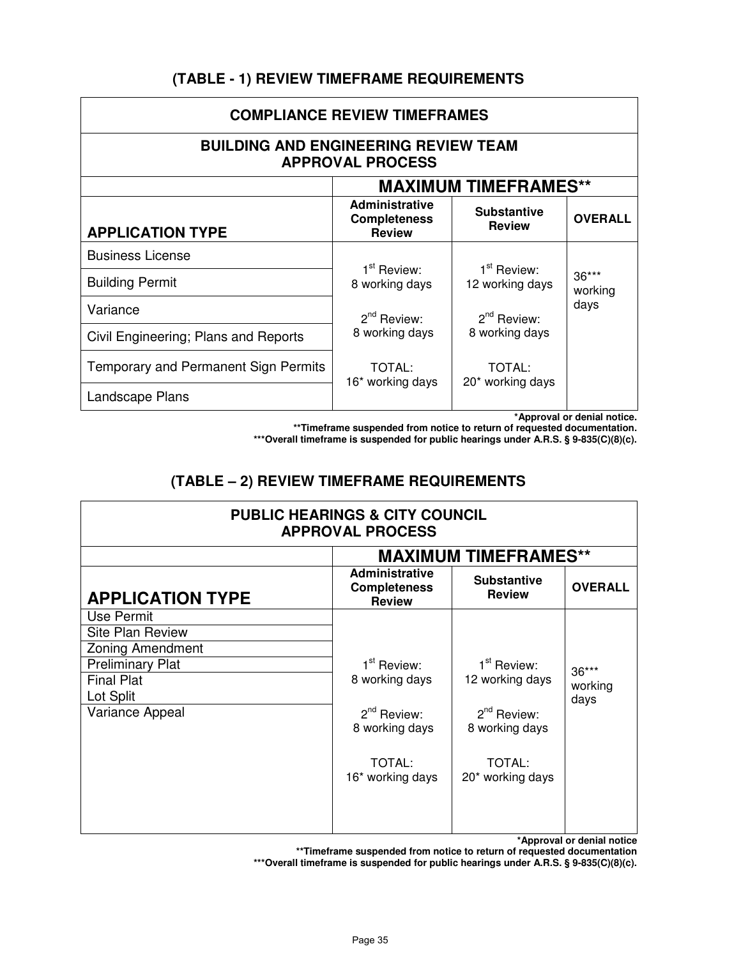#### **(TABLE - 1) REVIEW TIMEFRAME REQUIREMENTS**

| <b>COMPLIANCE REVIEW TIMEFRAMES</b>                                    |                                                               |                                            |                    |  |
|------------------------------------------------------------------------|---------------------------------------------------------------|--------------------------------------------|--------------------|--|
| <b>BUILDING AND ENGINEERING REVIEW TEAM</b><br><b>APPROVAL PROCESS</b> |                                                               |                                            |                    |  |
|                                                                        |                                                               | <b>MAXIMUM TIMEFRAMES**</b>                |                    |  |
| <b>APPLICATION TYPE</b>                                                | <b>Administrative</b><br><b>Completeness</b><br><b>Review</b> | <b>Substantive</b><br><b>Review</b>        | <b>OVERALL</b>     |  |
| <b>Business License</b>                                                |                                                               |                                            |                    |  |
| <b>Building Permit</b>                                                 | 1 <sup>st</sup> Review:<br>8 working days                     | 1 <sup>st</sup> Review:<br>12 working days | $36***$<br>working |  |
| Variance                                                               | $2^{nd}$ Review:                                              | $2^{nd}$ Review:                           | days               |  |
| Civil Engineering; Plans and Reports                                   | 8 working days                                                | 8 working days                             |                    |  |
| Temporary and Permanent Sign Permits                                   | TOTAL:<br>16* working days                                    | TOTAL:<br>20* working days                 |                    |  |
| Landscape Plans                                                        |                                                               |                                            |                    |  |

**\*Approval or denial notice.** 

**\*\*Timeframe suspended from notice to return of requested documentation.** 

**\*\*\*Overall timeframe is suspended for public hearings under A.R.S. § 9-835(C)(8)(c).** 

#### **(TABLE – 2) REVIEW TIMEFRAME REQUIREMENTS**

| <b>PUBLIC HEARINGS &amp; CITY COUNCIL</b><br><b>APPROVAL PROCESS</b> |                                                               |                                     |                |  |
|----------------------------------------------------------------------|---------------------------------------------------------------|-------------------------------------|----------------|--|
|                                                                      | <b>MAXIMUM TIMEFRAMES**</b>                                   |                                     |                |  |
| <b>APPLICATION TYPE</b>                                              | <b>Administrative</b><br><b>Completeness</b><br><b>Review</b> | <b>Substantive</b><br><b>Review</b> | <b>OVERALL</b> |  |
| Use Permit                                                           |                                                               |                                     |                |  |
| Site Plan Review                                                     |                                                               |                                     |                |  |
| <b>Zoning Amendment</b>                                              |                                                               |                                     |                |  |
| <b>Preliminary Plat</b>                                              | 1 <sup>st</sup> Review:                                       | 1 <sup>st</sup> Review:             | 36***          |  |
| <b>Final Plat</b>                                                    | 8 working days                                                | 12 working days                     | working        |  |
| Lot Split                                                            |                                                               |                                     | days           |  |
| Variance Appeal                                                      | $2^{nd}$ Review:                                              | $2^{nd}$ Review:                    |                |  |
|                                                                      | 8 working days                                                | 8 working days                      |                |  |
|                                                                      |                                                               |                                     |                |  |
|                                                                      | TOTAL:                                                        | <b>TOTAL:</b>                       |                |  |
|                                                                      | 16* working days                                              | 20* working days                    |                |  |
|                                                                      |                                                               |                                     |                |  |
|                                                                      |                                                               |                                     |                |  |
|                                                                      |                                                               |                                     |                |  |

**\*Approval or denial notice** 

**\*\*Timeframe suspended from notice to return of requested documentation** 

**\*\*\*Overall timeframe is suspended for public hearings under A.R.S. § 9-835(C)(8)(c).**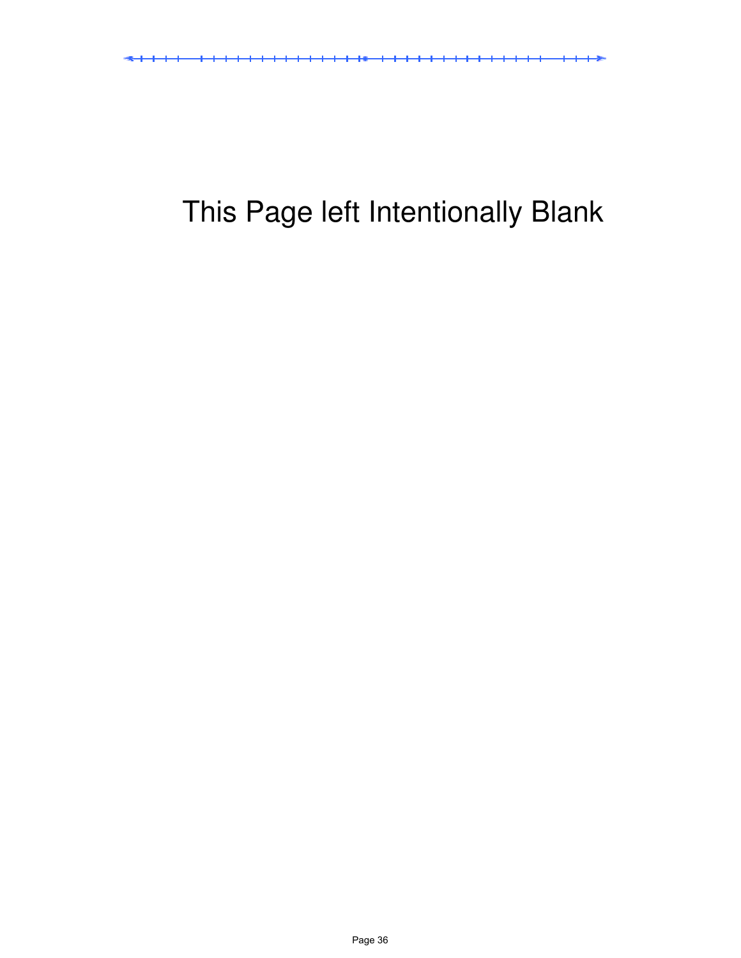# This Page left Intentionally Blank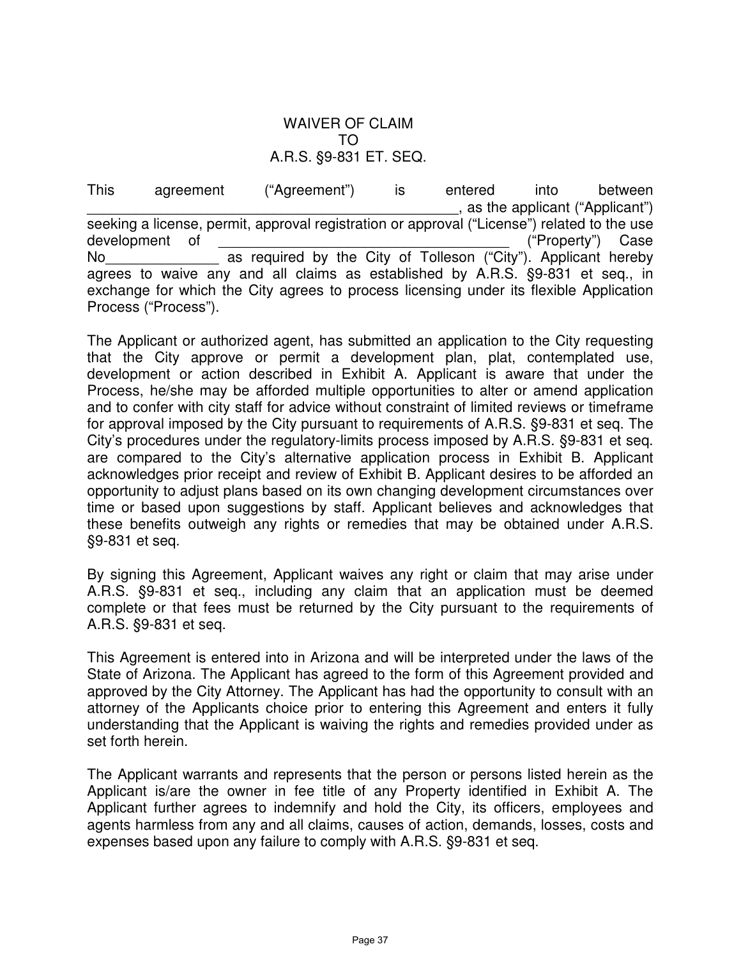#### WAIVER OF CLAIM TO A.R.S. §9-831 ET. SEQ.

This agreement ("Agreement") is entered into between . as the applicant ("Applicant") seeking a license, permit, approval registration or approval ("License") related to the use development of  $($ "Property") Case No<br>No as required by the City of Tolleson ("City"). Applicant hereby agrees to waive any and all claims as established by A.R.S. §9-831 et seq., in exchange for which the City agrees to process licensing under its flexible Application Process ("Process").

The Applicant or authorized agent, has submitted an application to the City requesting that the City approve or permit a development plan, plat, contemplated use, development or action described in Exhibit A. Applicant is aware that under the Process, he/she may be afforded multiple opportunities to alter or amend application and to confer with city staff for advice without constraint of limited reviews or timeframe for approval imposed by the City pursuant to requirements of A.R.S. §9-831 et seq. The City's procedures under the regulatory-limits process imposed by A.R.S. §9-831 et seq. are compared to the City's alternative application process in Exhibit B. Applicant acknowledges prior receipt and review of Exhibit B. Applicant desires to be afforded an opportunity to adjust plans based on its own changing development circumstances over time or based upon suggestions by staff. Applicant believes and acknowledges that these benefits outweigh any rights or remedies that may be obtained under A.R.S. §9-831 et seq.

By signing this Agreement, Applicant waives any right or claim that may arise under A.R.S. §9-831 et seq., including any claim that an application must be deemed complete or that fees must be returned by the City pursuant to the requirements of A.R.S. §9-831 et seq.

This Agreement is entered into in Arizona and will be interpreted under the laws of the State of Arizona. The Applicant has agreed to the form of this Agreement provided and approved by the City Attorney. The Applicant has had the opportunity to consult with an attorney of the Applicants choice prior to entering this Agreement and enters it fully understanding that the Applicant is waiving the rights and remedies provided under as set forth herein.

The Applicant warrants and represents that the person or persons listed herein as the Applicant is/are the owner in fee title of any Property identified in Exhibit A. The Applicant further agrees to indemnify and hold the City, its officers, employees and agents harmless from any and all claims, causes of action, demands, losses, costs and expenses based upon any failure to comply with A.R.S. §9-831 et seq.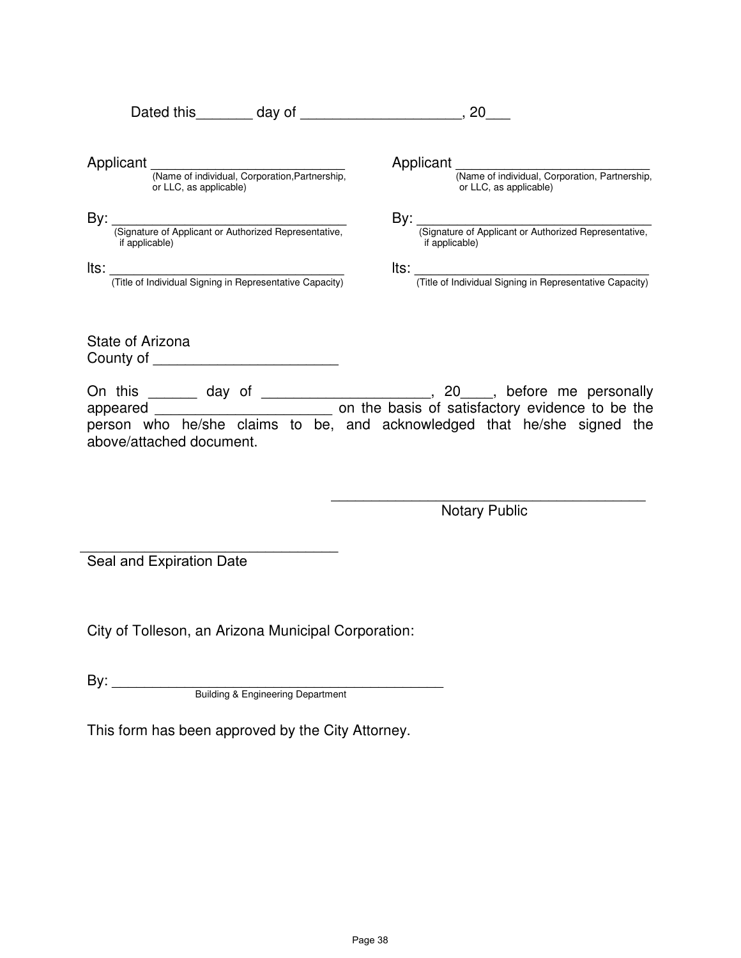| Dated this<br>day of                                                                  |                                                                                       |  |  |
|---------------------------------------------------------------------------------------|---------------------------------------------------------------------------------------|--|--|
| Applicant<br>(Name of individual, Corporation, Partnership,<br>or LLC, as applicable) | Applicant<br>(Name of individual, Corporation, Partnership,<br>or LLC, as applicable) |  |  |
| By:                                                                                   | By:                                                                                   |  |  |
| (Signature of Applicant or Authorized Representative,                                 | (Signature of Applicant or Authorized Representative,                                 |  |  |
| if applicable)                                                                        | if applicable)                                                                        |  |  |
| lts:                                                                                  | lts:                                                                                  |  |  |
| (Title of Individual Signing in Representative Capacity)                              | (Title of Individual Signing in Representative Capacity)                              |  |  |
| State of Arizona<br>County of                                                         |                                                                                       |  |  |
| On this                                                                               | before me personally                                                                  |  |  |
| day                                                                                   | 20                                                                                    |  |  |
| Οt                                                                                    | af aattafaatamu aytalamaa ta laa thaa                                                 |  |  |
|                                                                                       | ولمنط المتحالف لمرتمين                                                                |  |  |

appeared \_\_\_\_\_\_\_\_\_\_\_\_\_\_\_\_\_\_\_\_\_\_ on the basis of satisfactory evidence to be the person who he/she claims to be, and acknowledged that he/she signed the above/attached document.

> Notary Public  $\overline{\phantom{a}}$  , and the set of the set of the set of the set of the set of the set of the set of the set of the set of the set of the set of the set of the set of the set of the set of the set of the set of the set of the s

Seal and Expiration Date \_\_\_\_\_\_\_\_\_\_\_\_\_\_\_\_\_\_\_\_\_\_\_\_\_\_\_\_\_\_\_\_

City of Tolleson, an Arizona Municipal Corporation:

By: \_\_\_\_\_\_\_\_\_\_\_\_\_\_\_\_\_\_\_\_\_\_\_\_\_\_\_\_\_\_\_\_\_\_\_\_\_\_\_\_\_ Building & Engineering Department

This form has been approved by the City Attorney.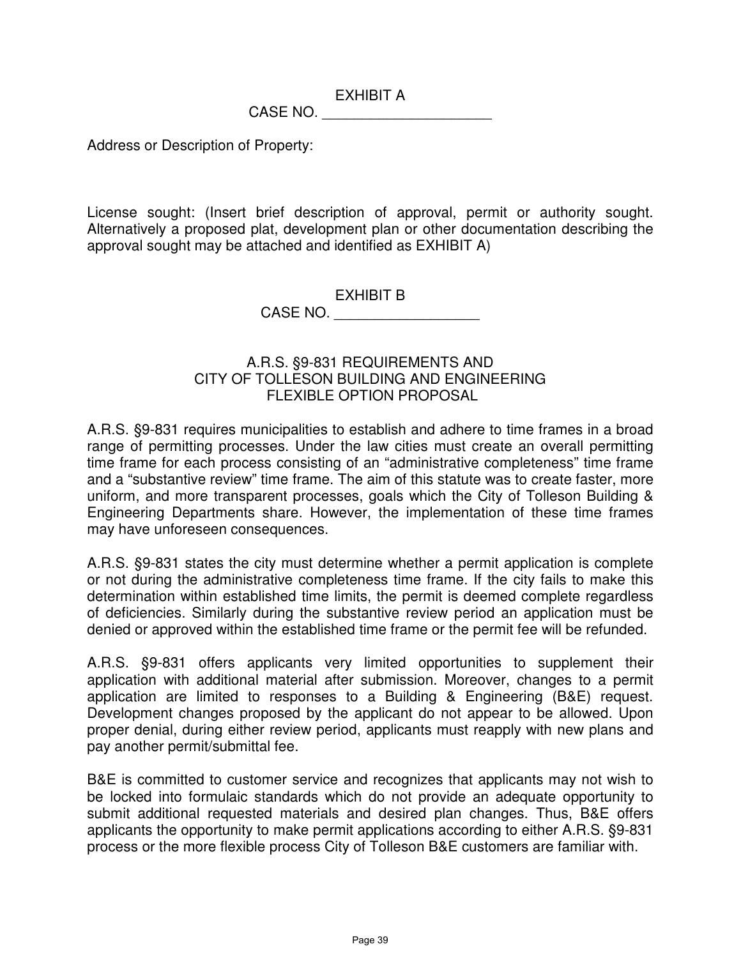EXHIBIT A

CASE NO.

Address or Description of Property:

License sought: (Insert brief description of approval, permit or authority sought. Alternatively a proposed plat, development plan or other documentation describing the approval sought may be attached and identified as EXHIBIT A)

> EXHIBIT B CASE NO.

#### A.R.S. §9-831 REQUIREMENTS AND CITY OF TOLLESON BUILDING AND ENGINEERING FLEXIBLE OPTION PROPOSAL

A.R.S. §9-831 requires municipalities to establish and adhere to time frames in a broad range of permitting processes. Under the law cities must create an overall permitting time frame for each process consisting of an "administrative completeness" time frame and a "substantive review" time frame. The aim of this statute was to create faster, more uniform, and more transparent processes, goals which the City of Tolleson Building & Engineering Departments share. However, the implementation of these time frames may have unforeseen consequences.

A.R.S. §9-831 states the city must determine whether a permit application is complete or not during the administrative completeness time frame. If the city fails to make this determination within established time limits, the permit is deemed complete regardless of deficiencies. Similarly during the substantive review period an application must be denied or approved within the established time frame or the permit fee will be refunded.

A.R.S. §9-831 offers applicants very limited opportunities to supplement their application with additional material after submission. Moreover, changes to a permit application are limited to responses to a Building & Engineering (B&E) request. Development changes proposed by the applicant do not appear to be allowed. Upon proper denial, during either review period, applicants must reapply with new plans and pay another permit/submittal fee.

B&E is committed to customer service and recognizes that applicants may not wish to be locked into formulaic standards which do not provide an adequate opportunity to submit additional requested materials and desired plan changes. Thus, B&E offers applicants the opportunity to make permit applications according to either A.R.S. §9-831 process or the more flexible process City of Tolleson B&E customers are familiar with.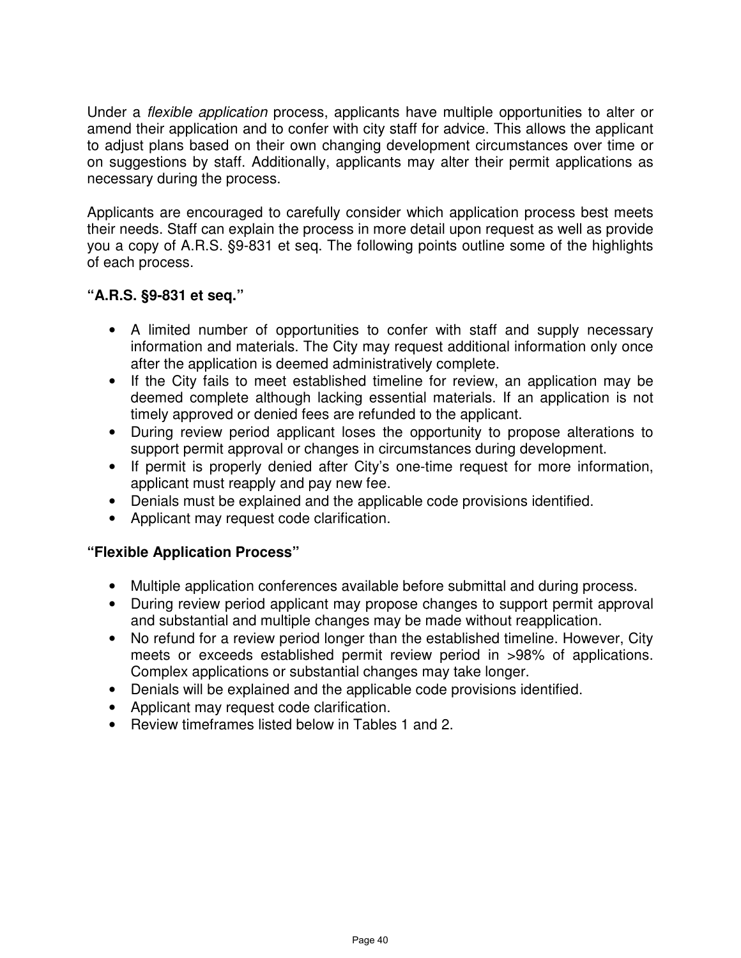Under a flexible application process, applicants have multiple opportunities to alter or amend their application and to confer with city staff for advice. This allows the applicant to adjust plans based on their own changing development circumstances over time or on suggestions by staff. Additionally, applicants may alter their permit applications as necessary during the process.

Applicants are encouraged to carefully consider which application process best meets their needs. Staff can explain the process in more detail upon request as well as provide you a copy of A.R.S. §9-831 et seq. The following points outline some of the highlights of each process.

#### **"A.R.S. §9-831 et seq."**

- A limited number of opportunities to confer with staff and supply necessary information and materials. The City may request additional information only once after the application is deemed administratively complete.
- If the City fails to meet established timeline for review, an application may be deemed complete although lacking essential materials. If an application is not timely approved or denied fees are refunded to the applicant.
- During review period applicant loses the opportunity to propose alterations to support permit approval or changes in circumstances during development.
- If permit is properly denied after City's one-time request for more information, applicant must reapply and pay new fee.
- Denials must be explained and the applicable code provisions identified.
- Applicant may request code clarification.

#### **"Flexible Application Process"**

- Multiple application conferences available before submittal and during process.
- During review period applicant may propose changes to support permit approval and substantial and multiple changes may be made without reapplication.
- No refund for a review period longer than the established timeline. However, City meets or exceeds established permit review period in >98% of applications. Complex applications or substantial changes may take longer.
- Denials will be explained and the applicable code provisions identified.
- Applicant may request code clarification.
- Review timeframes listed below in Tables 1 and 2.